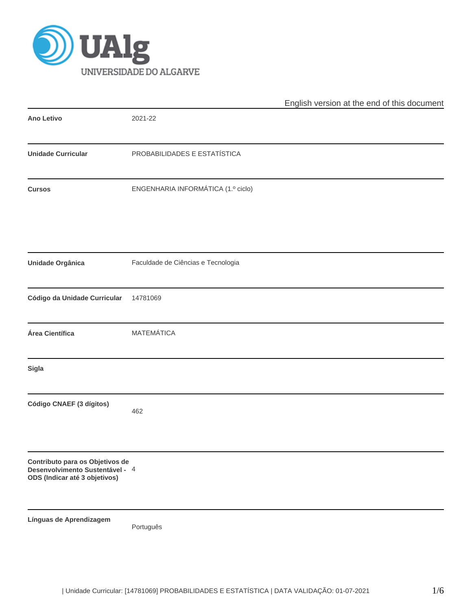

|                                                                                                     |                                    | English version at the end of this document |  |  |  |
|-----------------------------------------------------------------------------------------------------|------------------------------------|---------------------------------------------|--|--|--|
| <b>Ano Letivo</b>                                                                                   | 2021-22                            |                                             |  |  |  |
| <b>Unidade Curricular</b>                                                                           | PROBABILIDADES E ESTATÍSTICA       |                                             |  |  |  |
| <b>Cursos</b>                                                                                       | ENGENHARIA INFORMÁTICA (1.º ciclo) |                                             |  |  |  |
| Unidade Orgânica                                                                                    | Faculdade de Ciências e Tecnologia |                                             |  |  |  |
| Código da Unidade Curricular                                                                        | 14781069                           |                                             |  |  |  |
| Área Científica                                                                                     | <b>MATEMÁTICA</b>                  |                                             |  |  |  |
| Sigla                                                                                               |                                    |                                             |  |  |  |
| Código CNAEF (3 dígitos)                                                                            | 462                                |                                             |  |  |  |
| Contributo para os Objetivos de<br>Desenvolvimento Sustentável - 4<br>ODS (Indicar até 3 objetivos) |                                    |                                             |  |  |  |
| Línguas de Aprendizagem                                                                             | Português                          |                                             |  |  |  |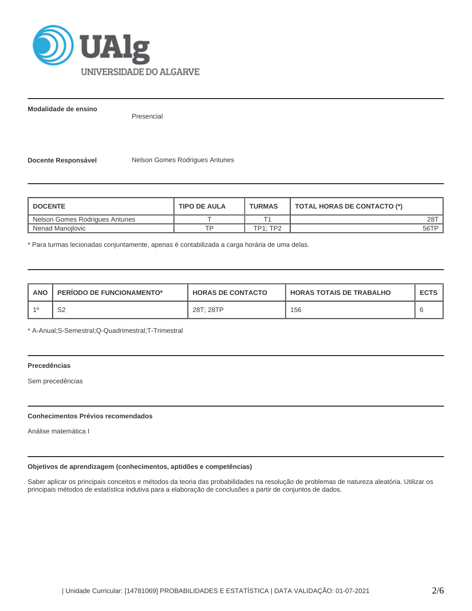

**Modalidade de ensino**

Presencial

**Docente Responsável** Nelson Gomes Rodrigues Antunes

| <b>I DOCENTE</b>               | <b>TIPO DE AULA</b> | <b>TURMAS</b>   | <b>TOTAL HORAS DE CONTACTO (*)</b> |
|--------------------------------|---------------------|-----------------|------------------------------------|
| Nelson Gomes Rodrigues Antunes |                     |                 | 28T                                |
| Nenad Manoilovic               | тc                  | <b>TP1: TP2</b> | 56TP                               |

\* Para turmas lecionadas conjuntamente, apenas é contabilizada a carga horária de uma delas.

| <b>ANO</b> | <b>PERIODO DE FUNCIONAMENTO*</b> | <b>HORAS DE CONTACTO</b> | <b>HORAS TOTAIS DE TRABALHO</b> | <b>ECTS</b> |
|------------|----------------------------------|--------------------------|---------------------------------|-------------|
|            | ∩∩<br>ےت                         | 28T: 28TP                | 156                             |             |

\* A-Anual;S-Semestral;Q-Quadrimestral;T-Trimestral

## **Precedências**

Sem precedências

#### **Conhecimentos Prévios recomendados**

Análise matemática I

# **Objetivos de aprendizagem (conhecimentos, aptidões e competências)**

Saber aplicar os principais conceitos e métodos da teoria das probabilidades na resolução de problemas de natureza aleatória. Utilizar os principais métodos de estatística indutiva para a elaboração de conclusões a partir de conjuntos de dados.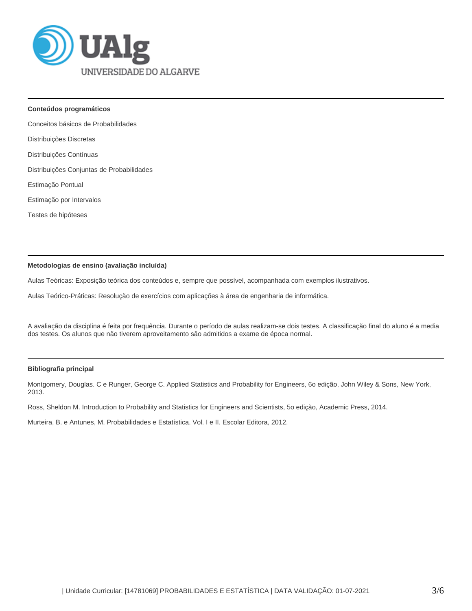

**Conteúdos programáticos**

Conceitos básicos de Probabilidades

Distribuições Discretas

Distribuições Contínuas

Distribuições Conjuntas de Probabilidades

Estimação Pontual

Estimação por Intervalos

Testes de hipóteses

#### **Metodologias de ensino (avaliação incluída)**

Aulas Teóricas: Exposição teórica dos conteúdos e, sempre que possível, acompanhada com exemplos ilustrativos.

Aulas Teórico-Práticas: Resolução de exercícios com aplicações à área de engenharia de informática.

A avaliação da disciplina é feita por frequência. Durante o período de aulas realizam-se dois testes. A classificação final do aluno é a media dos testes. Os alunos que não tiverem aproveitamento são admitidos a exame de época normal.

#### **Bibliografia principal**

Montgomery, Douglas. C e Runger, George C. Applied Statistics and Probability for Engineers, 6o edição, John Wiley & Sons, New York, 2013.

Ross, Sheldon M. Introduction to Probability and Statistics for Engineers and Scientists, 5o edição, Academic Press, 2014.

Murteira, B. e Antunes, M. Probabilidades e Estatística. Vol. I e II. Escolar Editora, 2012.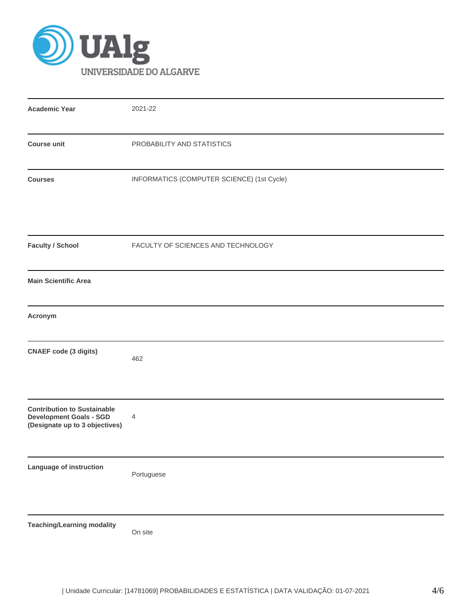

| <b>Academic Year</b>                                                                                   | 2021-22                                    |
|--------------------------------------------------------------------------------------------------------|--------------------------------------------|
| <b>Course unit</b>                                                                                     | PROBABILITY AND STATISTICS                 |
| <b>Courses</b>                                                                                         | INFORMATICS (COMPUTER SCIENCE) (1st Cycle) |
| <b>Faculty / School</b>                                                                                | FACULTY OF SCIENCES AND TECHNOLOGY         |
| <b>Main Scientific Area</b>                                                                            |                                            |
| Acronym                                                                                                |                                            |
| <b>CNAEF code (3 digits)</b>                                                                           | 462                                        |
| <b>Contribution to Sustainable</b><br><b>Development Goals - SGD</b><br>(Designate up to 3 objectives) | 4                                          |
| Language of instruction                                                                                | Portuguese                                 |
| <b>Teaching/Learning modality</b>                                                                      | On site                                    |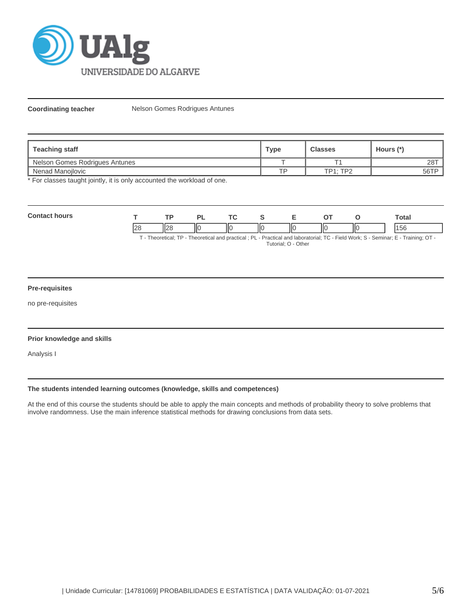

**Coordinating teacher** Nelson Gomes Rodrigues Antunes

| <b>Teaching staff</b>          | <b>Type</b> | <b>Classes</b>  | Hours (*) |
|--------------------------------|-------------|-----------------|-----------|
| Nelson Gomes Rodrigues Antunes |             |                 | 28T       |
| Nenad Manojlovic               | TD          | <b>TP1: TP2</b> | 56TP      |

\* For classes taught jointly, it is only accounted the workload of one.

| Con<br>hours<br>. |               |                    | - 12                     | <b>TA</b><br>$\sim$ |    | -- |    |     | Total     |
|-------------------|---------------|--------------------|--------------------------|---------------------|----|----|----|-----|-----------|
|                   | $\sim$<br>।∠⊂ | $\mathbf{u}$<br>⊔∠ | $\overline{\phantom{a}}$ | IЮ                  | ШC | ПC | НΟ | IІC | 14E<br>эc |

T - Theoretical; TP - Theoretical and practical ; PL - Practical and laboratorial; TC - Field Work; S - Seminar; E - Training; OT - Tutorial; O - Other

# **Pre-requisites**

no pre-requisites

#### **Prior knowledge and skills**

Analysis I

### **The students intended learning outcomes (knowledge, skills and competences)**

At the end of this course the students should be able to apply the main concepts and methods of probability theory to solve problems that involve randomness. Use the main inference statistical methods for drawing conclusions from data sets.